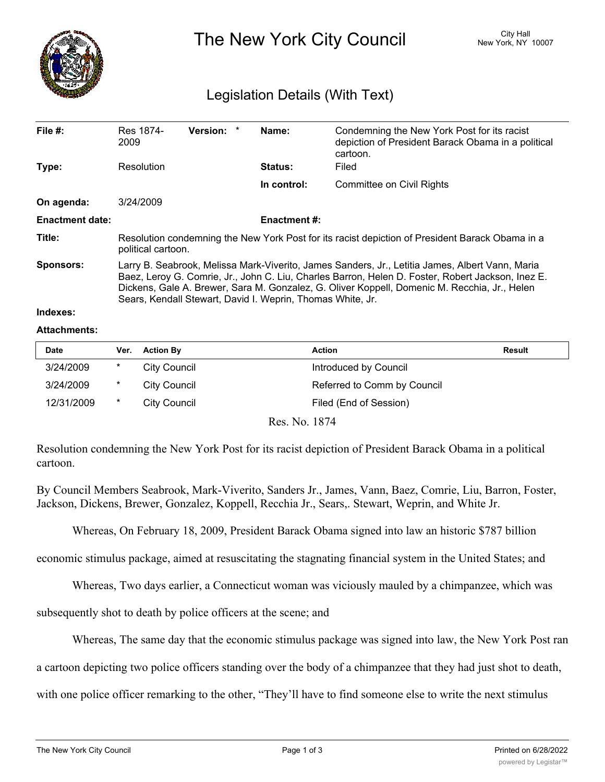

The New York City Council New York, NY 10007

## Legislation Details (With Text)

| File $#$ :             | Res 1874-<br>2009                                                                                                                                                                                                                                                                                                                                                  | Version: * |  | Name:          | Condemning the New York Post for its racist<br>depiction of President Barack Obama in a political<br>cartoon. |  |  |
|------------------------|--------------------------------------------------------------------------------------------------------------------------------------------------------------------------------------------------------------------------------------------------------------------------------------------------------------------------------------------------------------------|------------|--|----------------|---------------------------------------------------------------------------------------------------------------|--|--|
| Type:                  | Resolution                                                                                                                                                                                                                                                                                                                                                         |            |  | <b>Status:</b> | Filed                                                                                                         |  |  |
|                        |                                                                                                                                                                                                                                                                                                                                                                    |            |  | In control:    | <b>Committee on Civil Rights</b>                                                                              |  |  |
| On agenda:             | 3/24/2009                                                                                                                                                                                                                                                                                                                                                          |            |  |                |                                                                                                               |  |  |
| <b>Enactment date:</b> | <b>Enactment #:</b>                                                                                                                                                                                                                                                                                                                                                |            |  |                |                                                                                                               |  |  |
| Title:                 | Resolution condemning the New York Post for its racist depiction of President Barack Obama in a<br>political cartoon.                                                                                                                                                                                                                                              |            |  |                |                                                                                                               |  |  |
| <b>Sponsors:</b>       | Larry B. Seabrook, Melissa Mark-Viverito, James Sanders, Jr., Letitia James, Albert Vann, Maria<br>Baez, Leroy G. Comrie, Jr., John C. Liu, Charles Barron, Helen D. Foster, Robert Jackson, Inez E.<br>Dickens, Gale A. Brewer, Sara M. Gonzalez, G. Oliver Koppell, Domenic M. Recchia, Jr., Helen<br>Sears, Kendall Stewart, David I. Weprin, Thomas White, Jr. |            |  |                |                                                                                                               |  |  |
| Indexes:               |                                                                                                                                                                                                                                                                                                                                                                    |            |  |                |                                                                                                               |  |  |

## **Attachments:**

| <b>Date</b> | Ver. | <b>Action By</b>    | Action                      | Result |
|-------------|------|---------------------|-----------------------------|--------|
| 3/24/2009   | *    | <b>City Council</b> | Introduced by Council       |        |
| 3/24/2009   | *    | City Council        | Referred to Comm by Council |        |
| 12/31/2009  | *    | City Council        | Filed (End of Session)      |        |

Res. No. 1874

Resolution condemning the New York Post for its racist depiction of President Barack Obama in a political cartoon.

By Council Members Seabrook, Mark-Viverito, Sanders Jr., James, Vann, Baez, Comrie, Liu, Barron, Foster, Jackson, Dickens, Brewer, Gonzalez, Koppell, Recchia Jr., Sears,. Stewart, Weprin, and White Jr.

Whereas, On February 18, 2009, President Barack Obama signed into law an historic \$787 billion

economic stimulus package, aimed at resuscitating the stagnating financial system in the United States; and

Whereas, Two days earlier, a Connecticut woman was viciously mauled by a chimpanzee, which was

subsequently shot to death by police officers at the scene; and

Whereas, The same day that the economic stimulus package was signed into law, the New York Post ran

a cartoon depicting two police officers standing over the body of a chimpanzee that they had just shot to death,

with one police officer remarking to the other, "They'll have to find someone else to write the next stimulus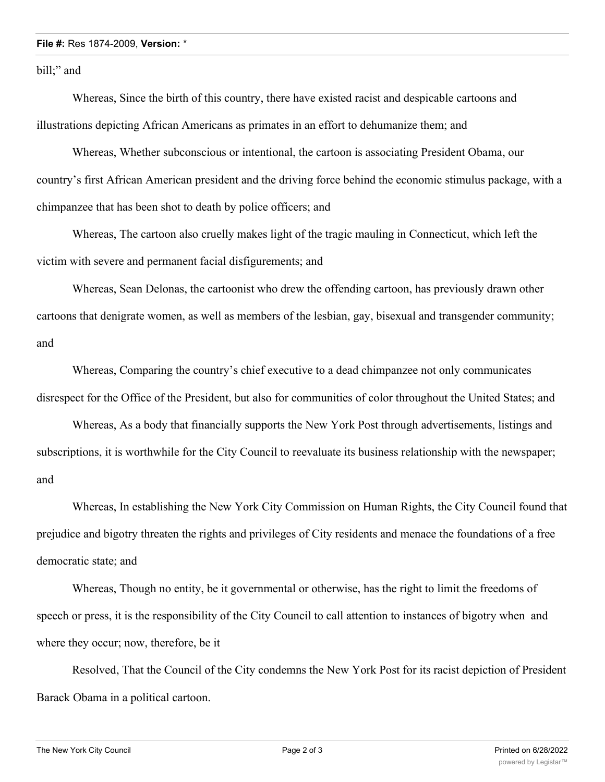## **File #:** Res 1874-2009, **Version:** \*

bill;" and

Whereas, Since the birth of this country, there have existed racist and despicable cartoons and illustrations depicting African Americans as primates in an effort to dehumanize them; and

Whereas, Whether subconscious or intentional, the cartoon is associating President Obama, our country's first African American president and the driving force behind the economic stimulus package, with a chimpanzee that has been shot to death by police officers; and

Whereas, The cartoon also cruelly makes light of the tragic mauling in Connecticut, which left the victim with severe and permanent facial disfigurements; and

Whereas, Sean Delonas, the cartoonist who drew the offending cartoon, has previously drawn other cartoons that denigrate women, as well as members of the lesbian, gay, bisexual and transgender community; and

Whereas, Comparing the country's chief executive to a dead chimpanzee not only communicates disrespect for the Office of the President, but also for communities of color throughout the United States; and

Whereas, As a body that financially supports the New York Post through advertisements, listings and subscriptions, it is worthwhile for the City Council to reevaluate its business relationship with the newspaper; and

Whereas, In establishing the New York City Commission on Human Rights, the City Council found that prejudice and bigotry threaten the rights and privileges of City residents and menace the foundations of a free democratic state; and

Whereas, Though no entity, be it governmental or otherwise, has the right to limit the freedoms of speech or press, it is the responsibility of the City Council to call attention to instances of bigotry when and where they occur; now, therefore, be it

Resolved, That the Council of the City condemns the New York Post for its racist depiction of President Barack Obama in a political cartoon.